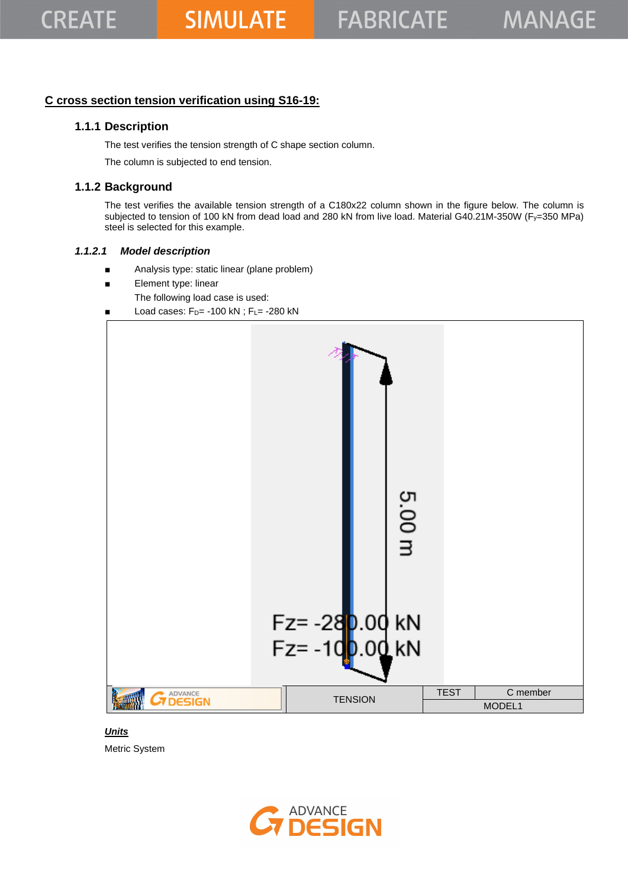### **C cross section tension verification using S16-19:**

## **1.1.1 Description**

The test verifies the tension strength of C shape section column.

The column is subjected to end tension.

## **1.1.2 Background**

The test verifies the available tension strength of a C180x22 column shown in the figure below. The column is subjected to tension of 100 kN from dead load and 280 kN from live load. Material G40.21M-350W (Fy=350 MPa) steel is selected for this example.

#### *1.1.2.1 Model description*

- Analysis type: static linear (plane problem)
- Element type: linear
	- The following load case is used:
- Load cases:  $F_D$ = -100 kN;  $F_L$ = -280 kN



#### *Units*

Metric System

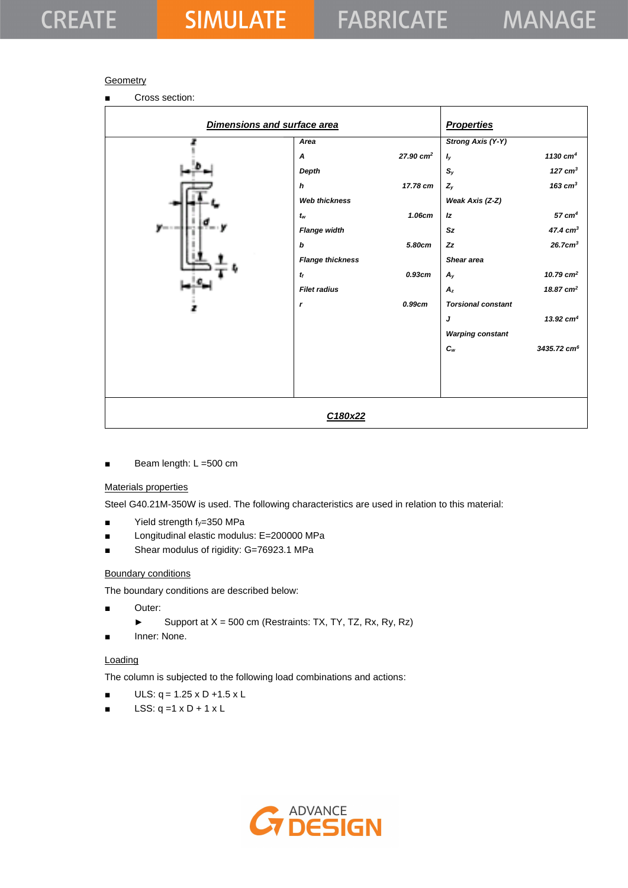#### **Geometry**

■ Cross section:

| Dimensions and surface area |                            |                      | <b>Properties</b>         |                         |
|-----------------------------|----------------------------|----------------------|---------------------------|-------------------------|
|                             | Area                       |                      | <b>Strong Axis (Y-Y)</b>  |                         |
|                             | A                          | $27.90 \text{ cm}^2$ | $I_{y}$                   | 1130 $cm4$              |
|                             | Depth                      |                      | $S_{y}$                   | 127 $cm3$               |
|                             | $\boldsymbol{h}$           | 17.78 cm             | $Z_{y}$                   | $163$ $cm3$             |
|                             | <b>Web thickness</b>       |                      | Weak Axis (Z-Z)           |                         |
|                             | $t_{\scriptscriptstyle W}$ | 1.06cm               | Iz                        | $57 \text{ cm}^4$       |
| y---                        | <b>Flange width</b>        |                      | Sz                        | $47.4 \text{ cm}^3$     |
|                             | $\bm{b}$                   | 5.80cm               | Zz                        | $26.7$ c $m3$           |
|                             | <b>Flange thickness</b>    |                      | Shear area                |                         |
|                             | $t_f$                      | 0.93cm               | $A_{y}$                   | 10.79 $cm2$             |
|                             | <b>Filet radius</b>        |                      | $A_z$                     | 18.87 $cm2$             |
| æ                           | $\mathbf{r}$               | 0.99cm               | <b>Torsional constant</b> |                         |
|                             |                            |                      | J                         | 13.92 $cm4$             |
|                             |                            |                      | <b>Warping constant</b>   |                         |
|                             |                            |                      | $c_{w}$                   | 3435.72 cm <sup>6</sup> |
|                             |                            |                      |                           |                         |
|                             |                            |                      |                           |                         |
|                             |                            |                      |                           |                         |
|                             |                            |                      |                           |                         |
|                             | C180x22                    |                      |                           |                         |

■ Beam length: L = 500 cm

#### Materials properties

Steel G40.21M-350W is used. The following characteristics are used in relation to this material:

- $\blacksquare$  Yield strength  $f_y=350$  MPa
- Longitudinal elastic modulus: E=200000 MPa
- Shear modulus of rigidity: G=76923.1 MPa

#### Boundary conditions

The boundary conditions are described below:

- Outer:
	- ► Support at  $X = 500$  cm (Restraints: TX, TY, TZ, Rx, Ry, Rz)
- Inner: None.

#### **Loading**

The column is subjected to the following load combinations and actions:

- $ULS: q = 1.25 \times D + 1.5 \times L$
- $\blacksquare$  LSS: q =1 x D + 1 x L

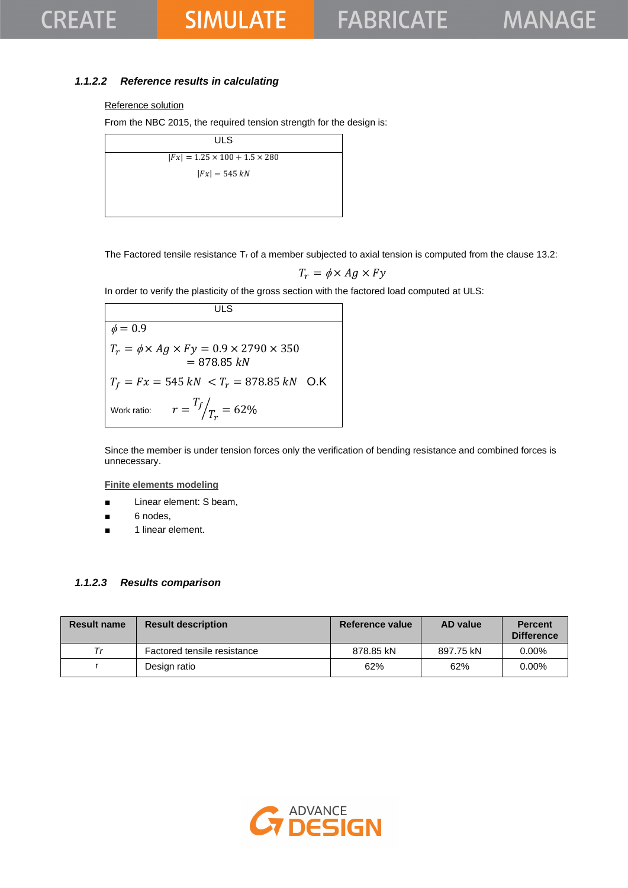### *1.1.2.2 Reference results in calculating*

#### Reference solution

From the NBC 2015, the required tension strength for the design is:

ULS  $|Fx| = 1.25 \times 100 + 1.5 \times 280$  $|Fx| = 545 kN$ 

The Factored tensile resistance  $T_r$  of a member subjected to axial tension is computed from the clause 13.2:

$$
T_r = \phi \times Ag \times Fy
$$

In order to verify the plasticity of the gross section with the factored load computed at ULS:

**ULS**  $\phi = 0.9$  $T_r = \phi \times Ag \times Fy = 0.9 \times 2790 \times 350$  $= 878.85 kN$  $T_f = Fx = 545 kN < T_r = 878.85 kN$  O.K Work ratio:  $T_f$  $\sqrt{T_r} = 62\%$ 

Since the member is under tension forces only the verification of bending resistance and combined forces is unnecessary.

**Finite elements modeling**

- Linear element: S beam,
- 6 nodes,
- 1 linear element.

#### *1.1.2.3 Results comparison*

| <b>Result name</b> | <b>Result description</b>   | Reference value | AD value  | <b>Percent</b><br><b>Difference</b> |
|--------------------|-----------------------------|-----------------|-----------|-------------------------------------|
| Тr                 | Factored tensile resistance | 878.85 kN       | 897.75 kN | $0.00\%$                            |
|                    | Design ratio                | 62%             | 62%       | $0.00\%$                            |